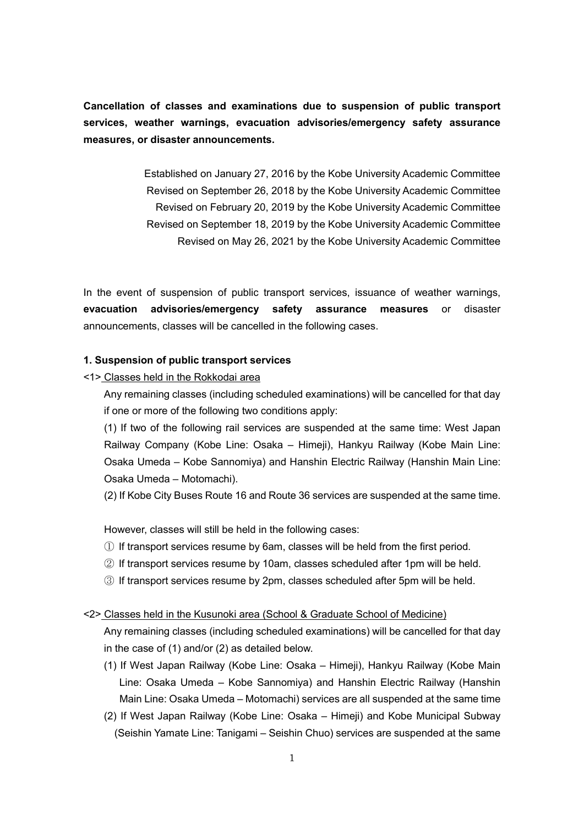**Cancellation of classes and examinations due to suspension of public transport services, weather warnings, evacuation advisories/emergency safety assurance measures, or disaster announcements.**

> Established on January 27, 2016 by the Kobe University Academic Committee Revised on September 26, 2018 by the Kobe University Academic Committee Revised on February 20, 2019 by the Kobe University Academic Committee Revised on September 18, 2019 by the Kobe University Academic Committee Revised on May 26, 2021 by the Kobe University Academic Committee

In the event of suspension of public transport services, issuance of weather warnings, **evacuation advisories/emergency safety assurance measures** or disaster announcements, classes will be cancelled in the following cases.

## **1. Suspension of public transport services**

<1> Classes held in the Rokkodai area

Any remaining classes (including scheduled examinations) will be cancelled for that day if one or more of the following two conditions apply:

(1) If two of the following rail services are suspended at the same time: West Japan Railway Company (Kobe Line: Osaka – Himeji), Hankyu Railway (Kobe Main Line: Osaka Umeda – Kobe Sannomiya) and Hanshin Electric Railway (Hanshin Main Line: Osaka Umeda – Motomachi).

(2) If Kobe City Buses Route 16 and Route 36 services are suspended at the same time.

However, classes will still be held in the following cases:

- ① If transport services resume by 6am, classes will be held from the first period.
- ② If transport services resume by 10am, classes scheduled after 1pm will be held.
- ③ If transport services resume by 2pm, classes scheduled after 5pm will be held.

#### <2> Classes held in the Kusunoki area (School & Graduate School of Medicine)

Any remaining classes (including scheduled examinations) will be cancelled for that day in the case of (1) and/or (2) as detailed below.

- (1) If West Japan Railway (Kobe Line: Osaka Himeji), Hankyu Railway (Kobe Main Line: Osaka Umeda – Kobe Sannomiya) and Hanshin Electric Railway (Hanshin Main Line: Osaka Umeda – Motomachi) services are all suspended at the same time
- (2) If West Japan Railway (Kobe Line: Osaka Himeji) and Kobe Municipal Subway (Seishin Yamate Line: Tanigami – Seishin Chuo) services are suspended at the same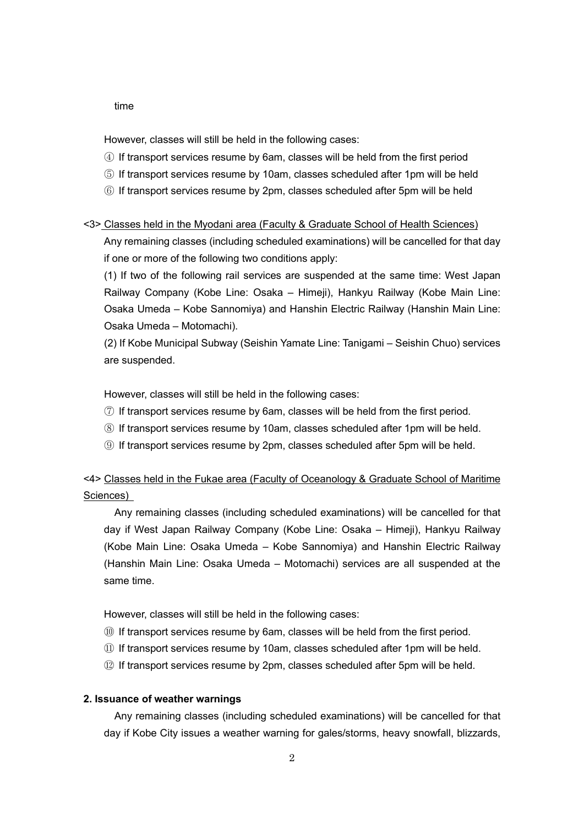#### time

However, classes will still be held in the following cases:

- ④ If transport services resume by 6am, classes will be held from the first period
- ⑤ If transport services resume by 10am, classes scheduled after 1pm will be held
- ⑥ If transport services resume by 2pm, classes scheduled after 5pm will be held

# <3> Classes held in the Myodani area (Faculty & Graduate School of Health Sciences)

Any remaining classes (including scheduled examinations) will be cancelled for that day if one or more of the following two conditions apply:

(1) If two of the following rail services are suspended at the same time: West Japan Railway Company (Kobe Line: Osaka – Himeji), Hankyu Railway (Kobe Main Line: Osaka Umeda – Kobe Sannomiya) and Hanshin Electric Railway (Hanshin Main Line: Osaka Umeda – Motomachi).

(2) If Kobe Municipal Subway (Seishin Yamate Line: Tanigami – Seishin Chuo) services are suspended.

However, classes will still be held in the following cases:

- ⑦ If transport services resume by 6am, classes will be held from the first period.
- ⑧ If transport services resume by 10am, classes scheduled after 1pm will be held.
- ⑨ If transport services resume by 2pm, classes scheduled after 5pm will be held.

<4> Classes held in the Fukae area (Faculty of Oceanology & Graduate School of Maritime Sciences)

Any remaining classes (including scheduled examinations) will be cancelled for that day if West Japan Railway Company (Kobe Line: Osaka – Himeji), Hankyu Railway (Kobe Main Line: Osaka Umeda – Kobe Sannomiya) and Hanshin Electric Railway (Hanshin Main Line: Osaka Umeda – Motomachi) services are all suspended at the same time.

However, classes will still be held in the following cases:

- ⑩ If transport services resume by 6am, classes will be held from the first period.
- ⑪ If transport services resume by 10am, classes scheduled after 1pm will be held.
- ⑫ If transport services resume by 2pm, classes scheduled after 5pm will be held.

### **2. Issuance of weather warnings**

Any remaining classes (including scheduled examinations) will be cancelled for that day if Kobe City issues a weather warning for gales/storms, heavy snowfall, blizzards,